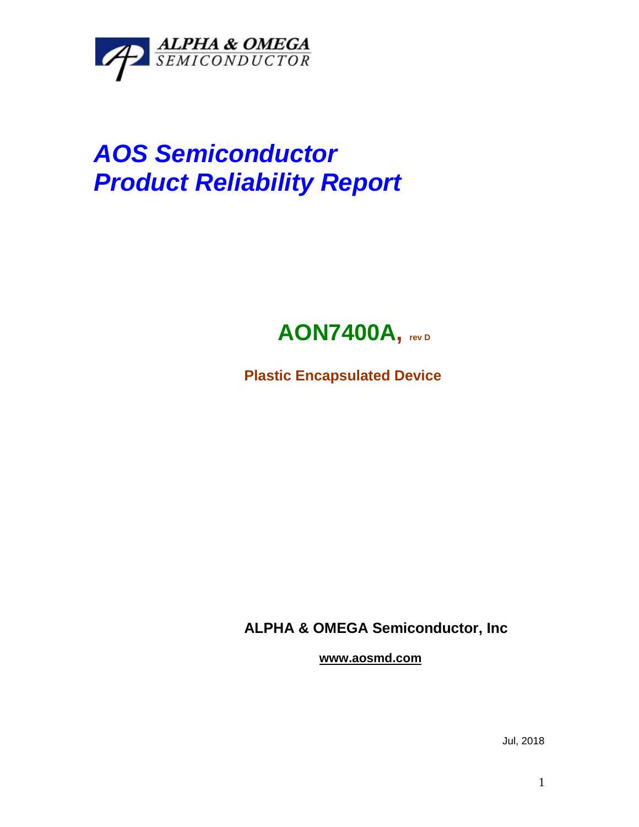

## *AOS Semiconductor Product Reliability Report*



**Plastic Encapsulated Device**

**ALPHA & OMEGA Semiconductor, Inc**

**www.aosmd.com**

Jul, 2018